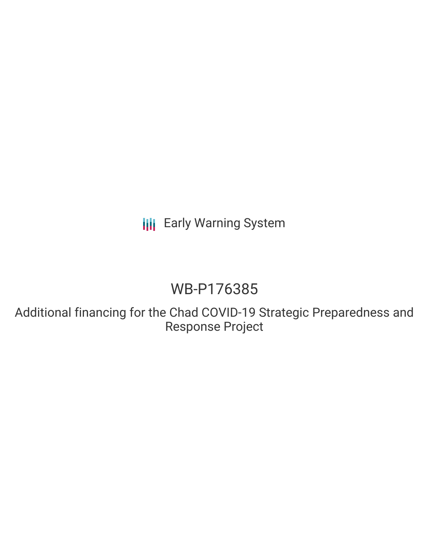**III** Early Warning System

## WB-P176385

Additional financing for the Chad COVID-19 Strategic Preparedness and Response Project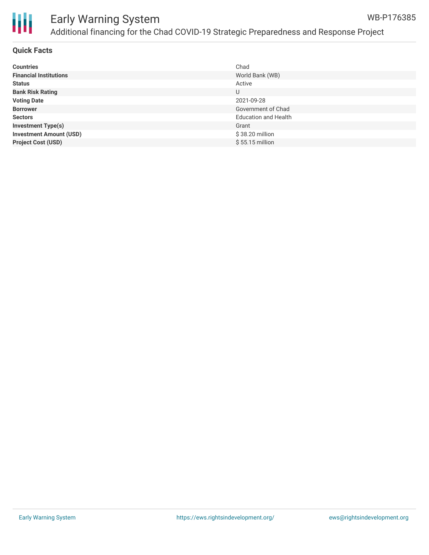

# Ш

## Early Warning System Additional financing for the Chad COVID-19 Strategic Preparedness and Response Project

#### **Quick Facts**

| <b>Countries</b>               | Chad                        |
|--------------------------------|-----------------------------|
| <b>Financial Institutions</b>  | World Bank (WB)             |
| <b>Status</b>                  | Active                      |
| <b>Bank Risk Rating</b>        | U                           |
| <b>Voting Date</b>             | 2021-09-28                  |
| <b>Borrower</b>                | Government of Chad          |
| <b>Sectors</b>                 | <b>Education and Health</b> |
| <b>Investment Type(s)</b>      | Grant                       |
| <b>Investment Amount (USD)</b> | \$38.20 million             |
| <b>Project Cost (USD)</b>      | $$55.15$ million            |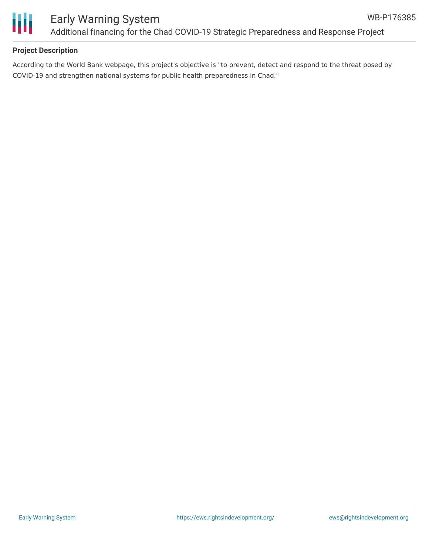



#### **Project Description**

According to the World Bank webpage, this project's objective is "to prevent, detect and respond to the threat posed by COVID-19 and strengthen national systems for public health preparedness in Chad."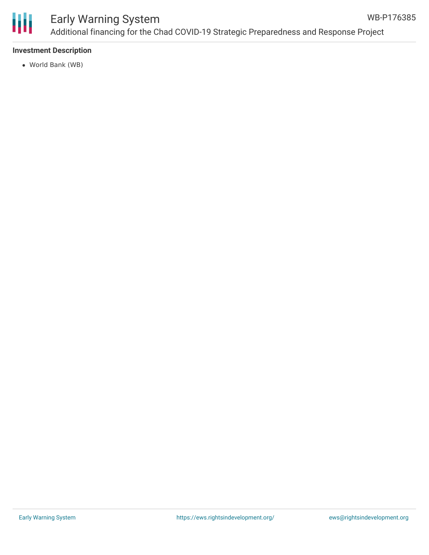

#### Early Warning System Additional financing for the Chad COVID-19 Strategic Preparedness and Response Project WB-P176385

#### **Investment Description**

World Bank (WB)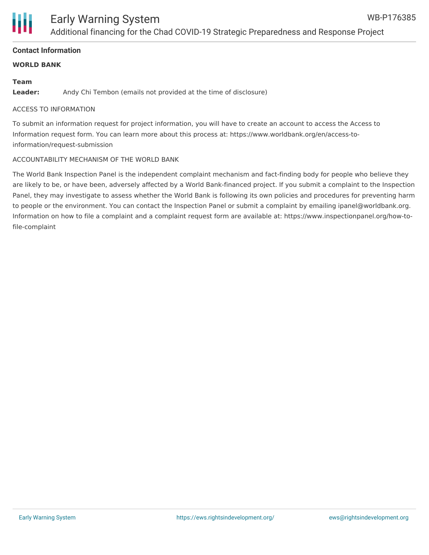

#### **Contact Information**

#### **WORLD BANK**

#### **Team**

**Leader:** Andy Chi Tembon (emails not provided at the time of disclosure)

#### ACCESS TO INFORMATION

To submit an information request for project information, you will have to create an account to access the Access to Information request form. You can learn more about this process at: https://www.worldbank.org/en/access-toinformation/request-submission

#### ACCOUNTABILITY MECHANISM OF THE WORLD BANK

The World Bank Inspection Panel is the independent complaint mechanism and fact-finding body for people who believe they are likely to be, or have been, adversely affected by a World Bank-financed project. If you submit a complaint to the Inspection Panel, they may investigate to assess whether the World Bank is following its own policies and procedures for preventing harm to people or the environment. You can contact the Inspection Panel or submit a complaint by emailing ipanel@worldbank.org. Information on how to file a complaint and a complaint request form are available at: https://www.inspectionpanel.org/how-tofile-complaint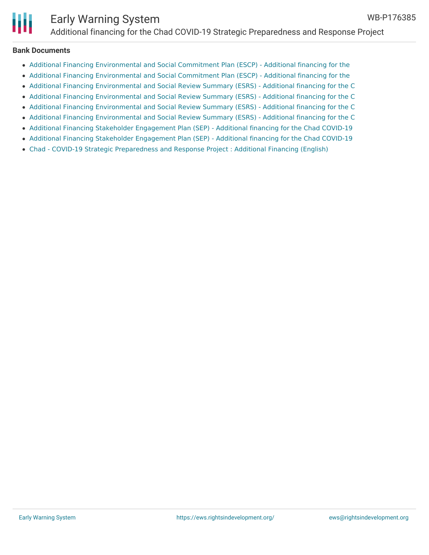

### Early Warning System Additional financing for the Chad COVID-19 Strategic Preparedness and Response Project

#### **Bank Documents**

- Additional Financing [Environmental](http://documents.worldbank.org/curated/en/410051631286723428/Additional-Financing-Environmental-and-Social-Commitment-Plan-ESCP-Additional-financing-for-the-Chad-COVID-19-Strategic-Preparedness-and-Re) and Social Commitment Plan (ESCP) Additional financing for the
- Additional Financing [Environmental](http://documents.worldbank.org/curated/en/349871631113313677/Additional-Financing-Environmental-and-Social-Commitment-Plan-ESCP-Additional-financing-for-the-Chad-COVID-19-Strategic-Preparedness-and-Re) and Social Commitment Plan (ESCP) Additional financing for the
- Additional Financing [Environmental](http://documents.worldbank.org/curated/en/882091631267886181/Project-Information-Document-Additional-financing-for-the-Chad-COVID-19-Strategic-Preparedness-and-Response-Project-P176385) and Social Review Summary (ESRS) Additional financing for the C
- Additional Financing [Environmental](http://documents.worldbank.org/curated/en/348301631286751447/Additional-Financing-Environmental-and-Social-Review-Summary-ESRS-Additional-financing-for-the-Chad-COVID-19-Strategic-Preparedness-and-Res) and Social Review Summary (ESRS) Additional financing for the C
- Additional Financing [Environmental](http://documents.worldbank.org/curated/en/382251631113347835/Additional-Financing-Environmental-and-Social-Review-Summary-ESRS-Additional-financing-for-the-Chad-COVID-19-Strategic-Preparedness-and-Res) and Social Review Summary (ESRS) Additional financing for the C
- Additional Financing [Environmental](http://documents.worldbank.org/curated/en/537921627650469008/Additional-Financing-Environmental-and-Social-Review-Summary-ESRS-Additional-financing-for-the-Chad-COVID-19-Strategic-Preparedness-and-Res) and Social Review Summary (ESRS) Additional financing for the C
- Additional Financing Stakeholder [Engagement](http://documents.worldbank.org/curated/en/520931631286733145/Additional-Financing-Stakeholder-Engagement-Plan-SEP-Additional-financing-for-the-Chad-COVID-19-Strategic-Preparedness-and-Response-Project) Plan (SEP) Additional financing for the Chad COVID-19
- Additional Financing Stakeholder [Engagement](http://documents.worldbank.org/curated/en/351551631113329250/Additional-Financing-Stakeholder-Engagement-Plan-SEP-Additional-financing-for-the-Chad-COVID-19-Strategic-Preparedness-and-Response-Project) Plan (SEP) Additional financing for the Chad COVID-19
- Chad COVID-19 Strategic [Preparedness](http://documents.worldbank.org/curated/en/553551634142252194/Chad-COVID-19-Strategic-Preparedness-and-Response-Project-Additional-Financing) and Response Project : Additional Financing (English)